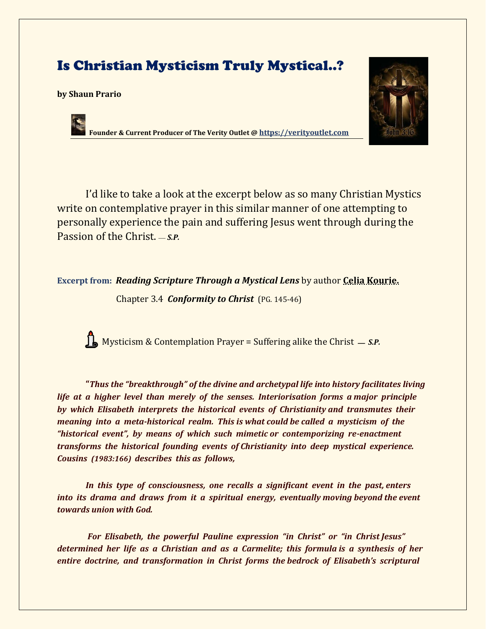## Is Christian Mysticism Truly Mystical..?

## **by Shaun Prario**



**Founder & Current Producer of The Verity Outlet @ [https://verityoutlet.com](https://verityoutlet.com/)**

I'd like to take a look at the excerpt below as so many Christian Mystics write on contemplative prayer in this similar manner of one attempting to personally experience the pain and suffering Jesus went through during the Passion of the Christ. – *s.p.* 

**Excerpt from:** *Reading Scripture Through a Mystical Lens* by author **Celia Kourie.**

Chapter 3.4 *Conformity to Christ* (PG. 145-46)

Mysticism & Contemplation Prayer = Suffering alike the Christ — S.P.

**"***Thus the "breakthrough" of the divine and archetypal life into history facilitates living life at a higher level than merely of the senses. Interiorisation forms a major principle by which Elisabeth interprets the historical events of Christianity and transmutes their meaning into a meta-historical realm. This is what could be called a mysticism of the "historical event", by means of which such mimetic or contemporizing re-enactment transforms the historical founding events of Christianity into deep mystical experience. Cousins (1983:166) describes this as follows,* 

*In this type of consciousness, one recalls a significant event in the past, enters into its drama and draws from it a spiritual energy, eventually moving beyond the event towards union with God.*

*For Elisabeth, the powerful Pauline expression "in Christ" or "in Christ Jesus" determined her life as a Christian and as a Carmelite; this formula is a synthesis of her entire doctrine, and transformation in Christ forms the bedrock of Elisabeth's scriptural*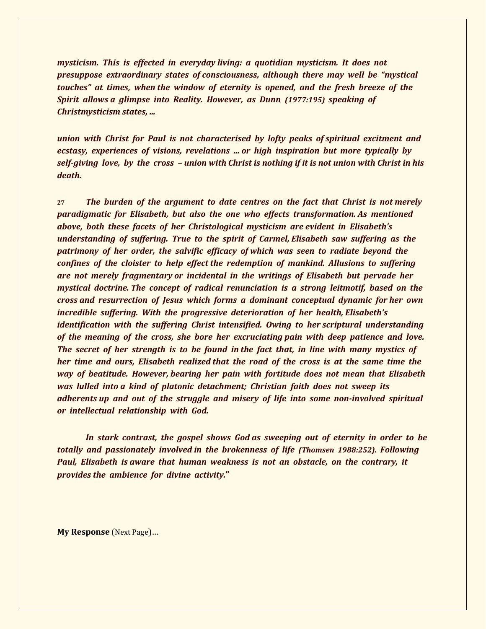*mysticism. This is effected in everyday living: a quotidian mysticism. It does not presuppose extraordinary states of consciousness, although there may well be "mystical touches" at times, when the window of eternity is opened, and the fresh breeze of the Spirit allows a glimpse into Reality. However, as Dunn (1977:195) speaking of Christmysticism states, ...* 

*union with Christ for Paul is not characterised by lofty peaks of spiritual excitment and ecstasy, experiences of visions, revelations ... or high inspiration but more typically by self-giving love, by the cross – union with Christ is nothing if it is not union with Christ in his death.*

**27** *The burden of the argument to date centres on the fact that Christ is not merely paradigmatic for Elisabeth, but also the one who effects transformation. As mentioned above, both these facets of her Christological mysticism are evident in Elisabeth's understanding of suffering. True to the spirit of Carmel, Elisabeth saw suffering as the patrimony of her order, the salvific efficacy of which was seen to radiate beyond the confines of the cloister to help effect the redemption of mankind. Allusions to suffering are not merely fragmentary or incidental in the writings of Elisabeth but pervade her mystical doctrine. The concept of radical renunciation is a strong leitmotif, based on the cross and resurrection of Jesus which forms a dominant conceptual dynamic for her own incredible suffering. With the progressive deterioration of her health, Elisabeth's identification with the suffering Christ intensified. Owing to her scriptural understanding of the meaning of the cross, she bore her excruciating pain with deep patience and love. The secret of her strength is to be found in the fact that, in line with many mystics of her time and ours, Elisabeth realized that the road of the cross is at the same time the way of beatitude. However, bearing her pain with fortitude does not mean that Elisabeth was lulled into a kind of platonic detachment; Christian faith does not sweep its adherents up and out of the struggle and misery of life into some non-involved spiritual or intellectual relationship with God.* 

*In stark contrast, the gospel shows God as sweeping out of eternity in order to be totally and passionately involved in the brokenness of life (Thomsen 1988:252). Following Paul, Elisabeth is aware that human weakness is not an obstacle, on the contrary, it provides the ambience for divine activity.***"**

**My Response** (Next Page)…